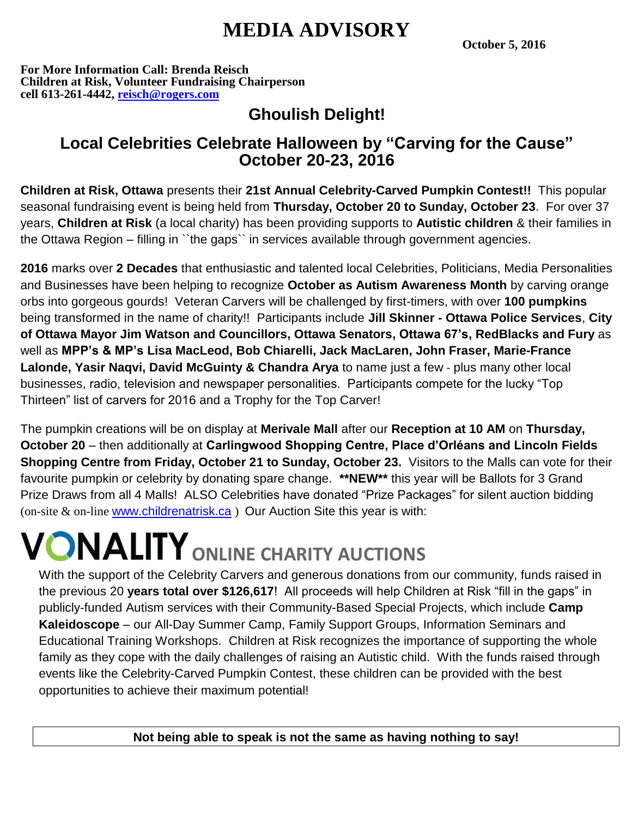## **MEDIA ADVISORY**

**October 5, 2016**

**For More Information Call: Brenda Reisch Children at Risk, Volunteer Fundraising Chairperson cell 613-261-4442, [reisch@rogers.com](mailto:reisch@rogers.com)**

## **Ghoulish Delight!**

### **Local Celebrities Celebrate Halloween by "Carving for the Cause" October 20-23, 2016**

**Children at Risk, Ottawa** presents their **21st Annual Celebrity-Carved Pumpkin Contest!!** This popular seasonal fundraising event is being held from **Thursday, October 20 to Sunday, October 23**. For over 37 years, **Children at Risk** (a local charity) has been providing supports to **Autistic children** & their families in the Ottawa Region – filling in ``the gaps`` in services available through government agencies.

**2016** marks over **2 Decades** that enthusiastic and talented local Celebrities, Politicians, Media Personalities and Businesses have been helping to recognize **October as Autism Awareness Month** by carving orange orbs into gorgeous gourds! Veteran Carvers will be challenged by first-timers, with over **100 pumpkins** being transformed in the name of charity!! Participants include **Jill Skinner - Ottawa Police Services**, **City of Ottawa Mayor Jim Watson and Councillors, Ottawa Senators, Ottawa 67's, RedBlacks and Fury** as well as **MPP's & MP's Lisa MacLeod, Bob Chiarelli, Jack MacLaren, John Fraser, Marie-France Lalonde, Yasir Naqvi, David McGuinty & Chandra Arya** to name just a few - plus many other local businesses, radio, television and newspaper personalities. Participants compete for the lucky "Top Thirteen" list of carvers for 2016 and a Trophy for the Top Carver!

The pumpkin creations will be on display at **Merivale Mall** after our **Reception at 10 AM** on **Thursday, October 20** – then additionally at **Carlingwood Shopping Centre, Place d'Orléans and Lincoln Fields Shopping Centre from Friday, October 21 to Sunday, October 23.** Visitors to the Malls can vote for their favourite pumpkin or celebrity by donating spare change. **\*\*NEW\*\*** this year will be Ballots for 3 Grand Prize Draws from all 4 Malls! ALSO Celebrities have donated "Prize Packages" for silent auction bidding (on-site & on-line [www.childrenatrisk.ca](http://www.childrenatrisk.ca/) ) Our Auction Site this year is with:

# **VONALITY** ONLINE CHARITY AUCTIONS

With the support of the Celebrity Carvers and generous donations from our community, funds raised in the previous 20 **years total over \$126,617**! All proceeds will help Children at Risk "fill in the gaps" in publicly-funded Autism services with their Community-Based Special Projects, which include **Camp Kaleidoscope** – our All-Day Summer Camp, Family Support Groups, Information Seminars and Educational Training Workshops. Children at Risk recognizes the importance of supporting the whole family as they cope with the daily challenges of raising an Autistic child. With the funds raised through events like the Celebrity-Carved Pumpkin Contest, these children can be provided with the best opportunities to achieve their maximum potential!

**Not being able to speak is not the same as having nothing to say!**